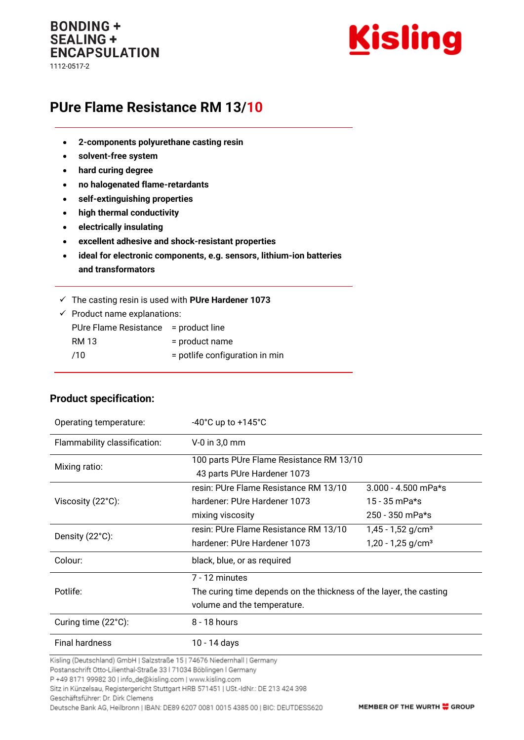## **BONDING + SEALING + ENCAPSULATION** 1112-0517-2



# **PUre Flame Resistance RM 13/10**

- **2-components polyurethane casting resin**
- **solvent-free system**
- **hard curing degree**
- **no halogenated flame-retardants**
- **self-extinguishing properties**
- **high thermal conductivity**
- **electrically insulating**

**Product specification:**

- **excellent adhesive and shock-resistant properties**
- **ideal for electronic components, e.g. sensors, lithium-ion batteries and transformators**
- ✓ The casting resin is used with **PUre Hardener 1073**

| $\checkmark$ Product name explanations: |                                |  |
|-----------------------------------------|--------------------------------|--|
| PUre Flame Resistance = product line    |                                |  |
| RM 13                                   | = product name                 |  |
| /10                                     | = potlife configuration in min |  |
|                                         |                                |  |

| Operating temperature:       | $-40^{\circ}$ C up to $+145^{\circ}$ C                                  |                                 |  |
|------------------------------|-------------------------------------------------------------------------|---------------------------------|--|
| Flammability classification: | $V-0$ in 3,0 mm                                                         |                                 |  |
| Mixing ratio:                | 100 parts PUre Flame Resistance RM 13/10<br>43 parts PUre Hardener 1073 |                                 |  |
|                              | resin: PUre Flame Resistance RM 13/10                                   | $3.000 - 4.500$ mPa*s           |  |
| Viscosity $(22^{\circ}C)$ :  | hardener: PUre Hardener 1073                                            | 15 - 35 mPa*s                   |  |
|                              | mixing viscosity                                                        | 250 - 350 mPa*s                 |  |
|                              | resin: PUre Flame Resistance RM 13/10                                   | $1,45 - 1,52$ g/cm <sup>3</sup> |  |
| Density (22°C):              | hardener: PUre Hardener 1073                                            | $1,20 - 1,25$ g/cm <sup>3</sup> |  |
| Colour:                      | black, blue, or as required                                             |                                 |  |
|                              | 7 - 12 minutes                                                          |                                 |  |
| Potlife:                     | The curing time depends on the thickness of the layer, the casting      |                                 |  |
|                              | volume and the temperature.                                             |                                 |  |
| Curing time (22°C):          | $8 - 18$ hours                                                          |                                 |  |
| <b>Final hardness</b>        | 10 - 14 days                                                            |                                 |  |

Kisling (Deutschland) GmbH | Salzstraße 15 | 74676 Niedernhall | Germany

Postanschrift Otto-Lilienthal-Straße 33 | 71034 Böblingen | Germany

P +49 8171 99982 30 | info\_de@kisling.com | www.kisling.com

Sitz in Künzelsau, Registergericht Stuttgart HRB 571451 | USt.-IdNr.: DE 213 424 398

Geschäftsführer: Dr. Dirk Clemens Deutsche Bank AG, Heilbronn | IBAN: DE89 6207 0081 0015 4385 00 | BIC: DEUTDESS620